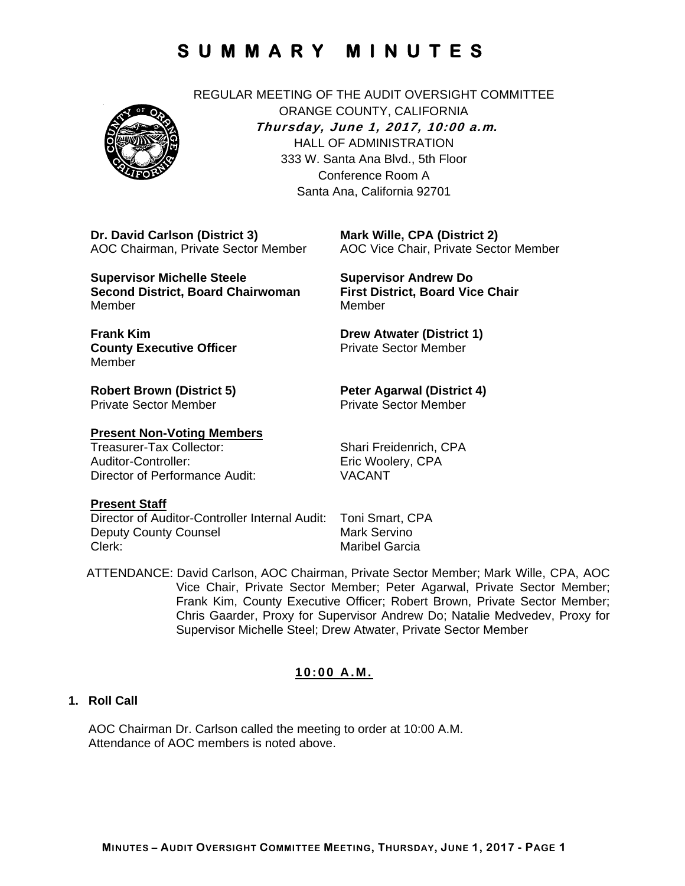

REGULAR MEETING OF THE AUDIT OVERSIGHT COMMITTEE ORANGE COUNTY, CALIFORNIA **Thursday, June 1, 2017, 10:00 a.m***.* HALL OF ADMINISTRATION 333 W. Santa Ana Blvd., 5th Floor Conference Room A Santa Ana, California 92701

**Dr. David Carlson (District 3)**  AOC Chairman, Private Sector Member

**Supervisor Michelle Steele Second District, Board Chairwoman**  Member

**First District, Board Vice Chair**  Member

**Supervisor Andrew Do** 

**Mark Wille, CPA (District 2)** 

AOC Vice Chair, Private Sector Member

**Frank Kim County Executive Officer**  Member

**Robert Brown (District 5)**  Private Sector Member

# **Present Non-Voting Members**

Auditor-Controller: Eric Woolery, CPA Director of Performance Audit: VACANT

**Drew Atwater (District 1)**  Private Sector Member

#### **Peter Agarwal (District 4)**  Private Sector Member

Shari Freidenrich, CPA

#### **Present Staff**

Director of Auditor-Controller Internal Audit: Toni Smart, CPA **Deputy County Counsel Counsel Mark Servino** Clerk: Clerk: Clerk: Maribel Garcia

ATTENDANCE: David Carlson, AOC Chairman, Private Sector Member; Mark Wille, CPA, AOC Vice Chair, Private Sector Member; Peter Agarwal, Private Sector Member; Frank Kim, County Executive Officer; Robert Brown, Private Sector Member; Chris Gaarder, Proxy for Supervisor Andrew Do; Natalie Medvedev, Proxy for Supervisor Michelle Steel; Drew Atwater, Private Sector Member

# **10:00 A.M.**

## **1. Roll Call**

AOC Chairman Dr. Carlson called the meeting to order at 10:00 A.M. Attendance of AOC members is noted above.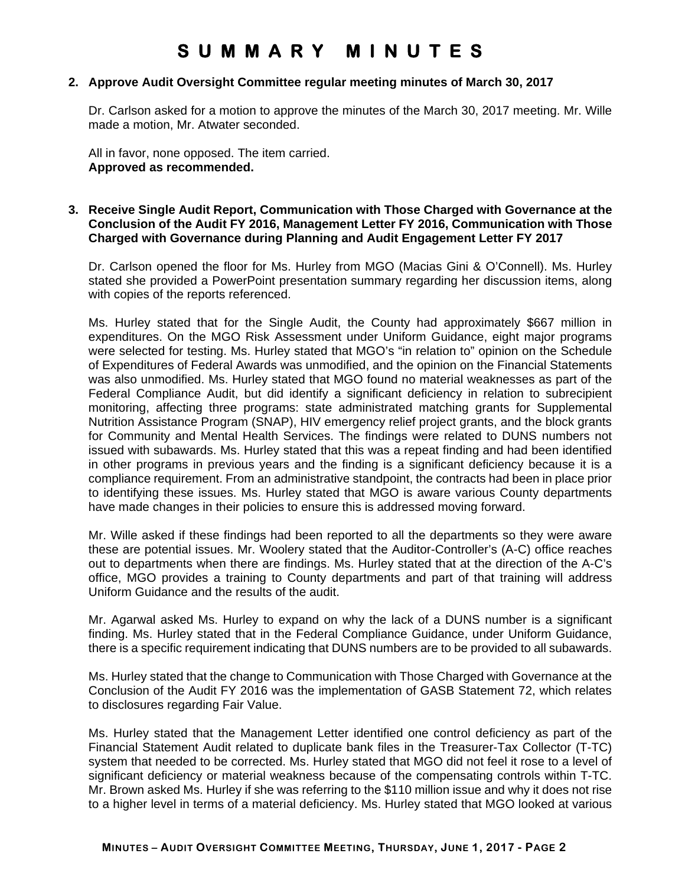#### **2. Approve Audit Oversight Committee regular meeting minutes of March 30, 2017**

Dr. Carlson asked for a motion to approve the minutes of the March 30, 2017 meeting. Mr. Wille made a motion, Mr. Atwater seconded.

All in favor, none opposed. The item carried. **Approved as recommended.** 

### **3. Receive Single Audit Report, Communication with Those Charged with Governance at the Conclusion of the Audit FY 2016, Management Letter FY 2016, Communication with Those Charged with Governance during Planning and Audit Engagement Letter FY 2017**

Dr. Carlson opened the floor for Ms. Hurley from MGO (Macias Gini & O'Connell). Ms. Hurley stated she provided a PowerPoint presentation summary regarding her discussion items, along with copies of the reports referenced.

Ms. Hurley stated that for the Single Audit, the County had approximately \$667 million in expenditures. On the MGO Risk Assessment under Uniform Guidance, eight major programs were selected for testing. Ms. Hurley stated that MGO's "in relation to" opinion on the Schedule of Expenditures of Federal Awards was unmodified, and the opinion on the Financial Statements was also unmodified. Ms. Hurley stated that MGO found no material weaknesses as part of the Federal Compliance Audit, but did identify a significant deficiency in relation to subrecipient monitoring, affecting three programs: state administrated matching grants for Supplemental Nutrition Assistance Program (SNAP), HIV emergency relief project grants, and the block grants for Community and Mental Health Services. The findings were related to DUNS numbers not issued with subawards. Ms. Hurley stated that this was a repeat finding and had been identified in other programs in previous years and the finding is a significant deficiency because it is a compliance requirement. From an administrative standpoint, the contracts had been in place prior to identifying these issues. Ms. Hurley stated that MGO is aware various County departments have made changes in their policies to ensure this is addressed moving forward.

Mr. Wille asked if these findings had been reported to all the departments so they were aware these are potential issues. Mr. Woolery stated that the Auditor-Controller's (A-C) office reaches out to departments when there are findings. Ms. Hurley stated that at the direction of the A-C's office, MGO provides a training to County departments and part of that training will address Uniform Guidance and the results of the audit.

Mr. Agarwal asked Ms. Hurley to expand on why the lack of a DUNS number is a significant finding. Ms. Hurley stated that in the Federal Compliance Guidance, under Uniform Guidance, there is a specific requirement indicating that DUNS numbers are to be provided to all subawards.

Ms. Hurley stated that the change to Communication with Those Charged with Governance at the Conclusion of the Audit FY 2016 was the implementation of GASB Statement 72, which relates to disclosures regarding Fair Value.

Ms. Hurley stated that the Management Letter identified one control deficiency as part of the Financial Statement Audit related to duplicate bank files in the Treasurer-Tax Collector (T-TC) system that needed to be corrected. Ms. Hurley stated that MGO did not feel it rose to a level of significant deficiency or material weakness because of the compensating controls within T-TC. Mr. Brown asked Ms. Hurley if she was referring to the \$110 million issue and why it does not rise to a higher level in terms of a material deficiency. Ms. Hurley stated that MGO looked at various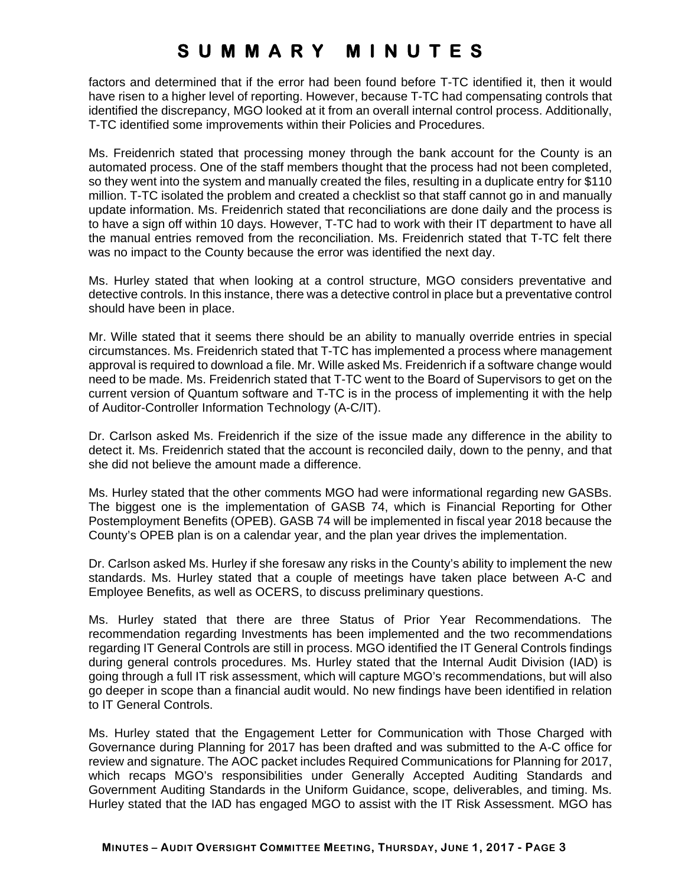factors and determined that if the error had been found before T-TC identified it, then it would have risen to a higher level of reporting. However, because T-TC had compensating controls that identified the discrepancy, MGO looked at it from an overall internal control process. Additionally, T-TC identified some improvements within their Policies and Procedures.

Ms. Freidenrich stated that processing money through the bank account for the County is an automated process. One of the staff members thought that the process had not been completed, so they went into the system and manually created the files, resulting in a duplicate entry for \$110 million. T-TC isolated the problem and created a checklist so that staff cannot go in and manually update information. Ms. Freidenrich stated that reconciliations are done daily and the process is to have a sign off within 10 days. However, T-TC had to work with their IT department to have all the manual entries removed from the reconciliation. Ms. Freidenrich stated that T-TC felt there was no impact to the County because the error was identified the next day.

Ms. Hurley stated that when looking at a control structure, MGO considers preventative and detective controls. In this instance, there was a detective control in place but a preventative control should have been in place.

Mr. Wille stated that it seems there should be an ability to manually override entries in special circumstances. Ms. Freidenrich stated that T-TC has implemented a process where management approval is required to download a file. Mr. Wille asked Ms. Freidenrich if a software change would need to be made. Ms. Freidenrich stated that T-TC went to the Board of Supervisors to get on the current version of Quantum software and T-TC is in the process of implementing it with the help of Auditor-Controller Information Technology (A-C/IT).

Dr. Carlson asked Ms. Freidenrich if the size of the issue made any difference in the ability to detect it. Ms. Freidenrich stated that the account is reconciled daily, down to the penny, and that she did not believe the amount made a difference.

Ms. Hurley stated that the other comments MGO had were informational regarding new GASBs. The biggest one is the implementation of GASB 74, which is Financial Reporting for Other Postemployment Benefits (OPEB). GASB 74 will be implemented in fiscal year 2018 because the County's OPEB plan is on a calendar year, and the plan year drives the implementation.

Dr. Carlson asked Ms. Hurley if she foresaw any risks in the County's ability to implement the new standards. Ms. Hurley stated that a couple of meetings have taken place between A-C and Employee Benefits, as well as OCERS, to discuss preliminary questions.

Ms. Hurley stated that there are three Status of Prior Year Recommendations. The recommendation regarding Investments has been implemented and the two recommendations regarding IT General Controls are still in process. MGO identified the IT General Controls findings during general controls procedures. Ms. Hurley stated that the Internal Audit Division (IAD) is going through a full IT risk assessment, which will capture MGO's recommendations, but will also go deeper in scope than a financial audit would. No new findings have been identified in relation to IT General Controls.

Ms. Hurley stated that the Engagement Letter for Communication with Those Charged with Governance during Planning for 2017 has been drafted and was submitted to the A-C office for review and signature. The AOC packet includes Required Communications for Planning for 2017, which recaps MGO's responsibilities under Generally Accepted Auditing Standards and Government Auditing Standards in the Uniform Guidance, scope, deliverables, and timing. Ms. Hurley stated that the IAD has engaged MGO to assist with the IT Risk Assessment. MGO has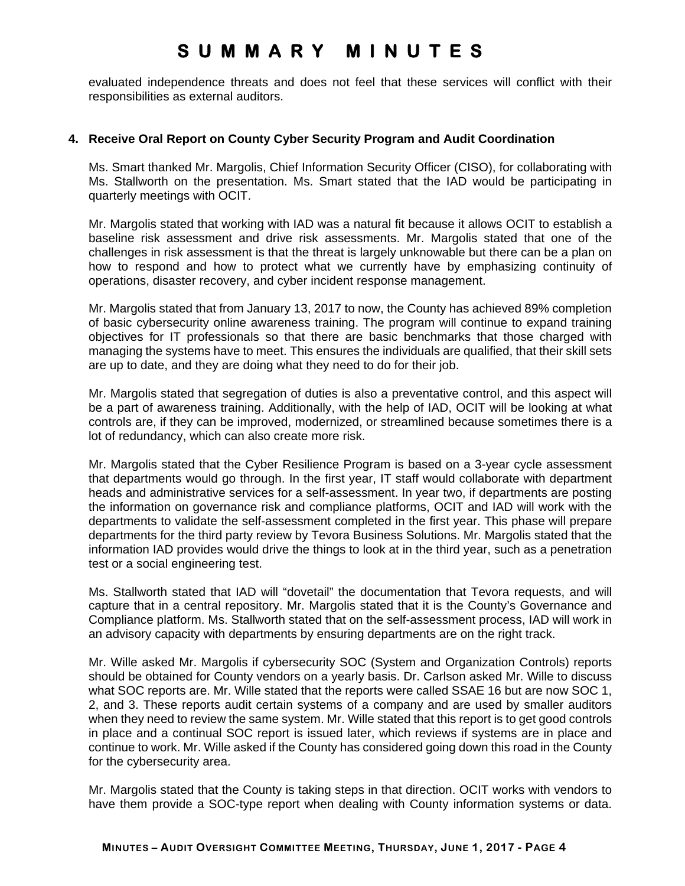evaluated independence threats and does not feel that these services will conflict with their responsibilities as external auditors.

### **4. Receive Oral Report on County Cyber Security Program and Audit Coordination**

Ms. Smart thanked Mr. Margolis, Chief Information Security Officer (CISO), for collaborating with Ms. Stallworth on the presentation. Ms. Smart stated that the IAD would be participating in quarterly meetings with OCIT.

Mr. Margolis stated that working with IAD was a natural fit because it allows OCIT to establish a baseline risk assessment and drive risk assessments. Mr. Margolis stated that one of the challenges in risk assessment is that the threat is largely unknowable but there can be a plan on how to respond and how to protect what we currently have by emphasizing continuity of operations, disaster recovery, and cyber incident response management.

Mr. Margolis stated that from January 13, 2017 to now, the County has achieved 89% completion of basic cybersecurity online awareness training. The program will continue to expand training objectives for IT professionals so that there are basic benchmarks that those charged with managing the systems have to meet. This ensures the individuals are qualified, that their skill sets are up to date, and they are doing what they need to do for their job.

Mr. Margolis stated that segregation of duties is also a preventative control, and this aspect will be a part of awareness training. Additionally, with the help of IAD, OCIT will be looking at what controls are, if they can be improved, modernized, or streamlined because sometimes there is a lot of redundancy, which can also create more risk.

Mr. Margolis stated that the Cyber Resilience Program is based on a 3-year cycle assessment that departments would go through. In the first year, IT staff would collaborate with department heads and administrative services for a self-assessment. In year two, if departments are posting the information on governance risk and compliance platforms, OCIT and IAD will work with the departments to validate the self-assessment completed in the first year. This phase will prepare departments for the third party review by Tevora Business Solutions. Mr. Margolis stated that the information IAD provides would drive the things to look at in the third year, such as a penetration test or a social engineering test.

Ms. Stallworth stated that IAD will "dovetail" the documentation that Tevora requests, and will capture that in a central repository. Mr. Margolis stated that it is the County's Governance and Compliance platform. Ms. Stallworth stated that on the self-assessment process, IAD will work in an advisory capacity with departments by ensuring departments are on the right track.

Mr. Wille asked Mr. Margolis if cybersecurity SOC (System and Organization Controls) reports should be obtained for County vendors on a yearly basis. Dr. Carlson asked Mr. Wille to discuss what SOC reports are. Mr. Wille stated that the reports were called SSAE 16 but are now SOC 1, 2, and 3. These reports audit certain systems of a company and are used by smaller auditors when they need to review the same system. Mr. Wille stated that this report is to get good controls in place and a continual SOC report is issued later, which reviews if systems are in place and continue to work. Mr. Wille asked if the County has considered going down this road in the County for the cybersecurity area.

Mr. Margolis stated that the County is taking steps in that direction. OCIT works with vendors to have them provide a SOC-type report when dealing with County information systems or data.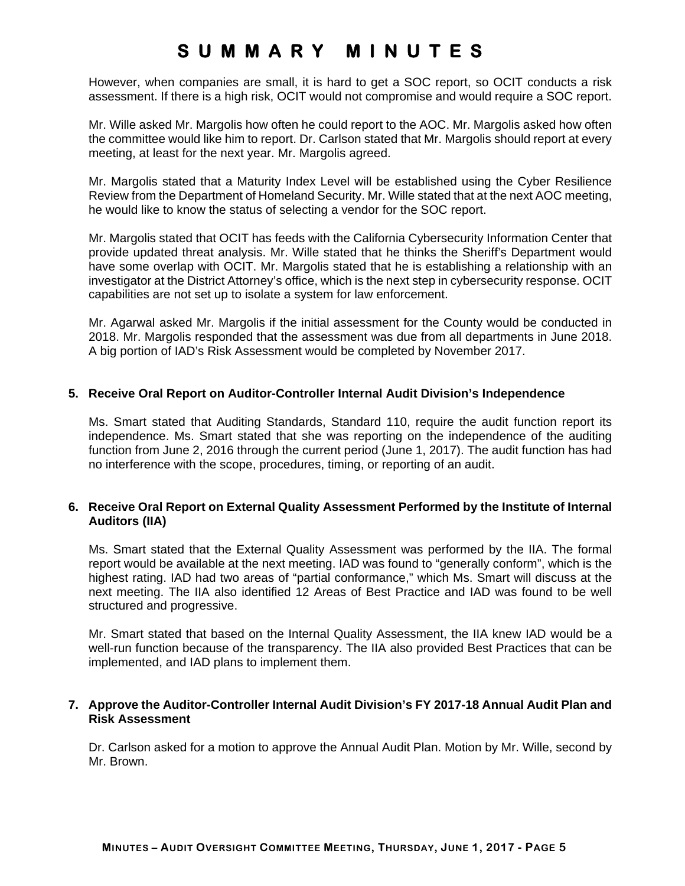However, when companies are small, it is hard to get a SOC report, so OCIT conducts a risk assessment. If there is a high risk, OCIT would not compromise and would require a SOC report.

Mr. Wille asked Mr. Margolis how often he could report to the AOC. Mr. Margolis asked how often the committee would like him to report. Dr. Carlson stated that Mr. Margolis should report at every meeting, at least for the next year. Mr. Margolis agreed.

Mr. Margolis stated that a Maturity Index Level will be established using the Cyber Resilience Review from the Department of Homeland Security. Mr. Wille stated that at the next AOC meeting, he would like to know the status of selecting a vendor for the SOC report.

Mr. Margolis stated that OCIT has feeds with the California Cybersecurity Information Center that provide updated threat analysis. Mr. Wille stated that he thinks the Sheriff's Department would have some overlap with OCIT. Mr. Margolis stated that he is establishing a relationship with an investigator at the District Attorney's office, which is the next step in cybersecurity response. OCIT capabilities are not set up to isolate a system for law enforcement.

Mr. Agarwal asked Mr. Margolis if the initial assessment for the County would be conducted in 2018. Mr. Margolis responded that the assessment was due from all departments in June 2018. A big portion of IAD's Risk Assessment would be completed by November 2017.

### **5. Receive Oral Report on Auditor-Controller Internal Audit Division's Independence**

Ms. Smart stated that Auditing Standards, Standard 110, require the audit function report its independence. Ms. Smart stated that she was reporting on the independence of the auditing function from June 2, 2016 through the current period (June 1, 2017). The audit function has had no interference with the scope, procedures, timing, or reporting of an audit.

## **6. Receive Oral Report on External Quality Assessment Performed by the Institute of Internal Auditors (IIA)**

Ms. Smart stated that the External Quality Assessment was performed by the IIA. The formal report would be available at the next meeting. IAD was found to "generally conform", which is the highest rating. IAD had two areas of "partial conformance," which Ms. Smart will discuss at the next meeting. The IIA also identified 12 Areas of Best Practice and IAD was found to be well structured and progressive.

Mr. Smart stated that based on the Internal Quality Assessment, the IIA knew IAD would be a well-run function because of the transparency. The IIA also provided Best Practices that can be implemented, and IAD plans to implement them.

### **7. Approve the Auditor-Controller Internal Audit Division's FY 2017-18 Annual Audit Plan and Risk Assessment**

Dr. Carlson asked for a motion to approve the Annual Audit Plan. Motion by Mr. Wille, second by Mr. Brown.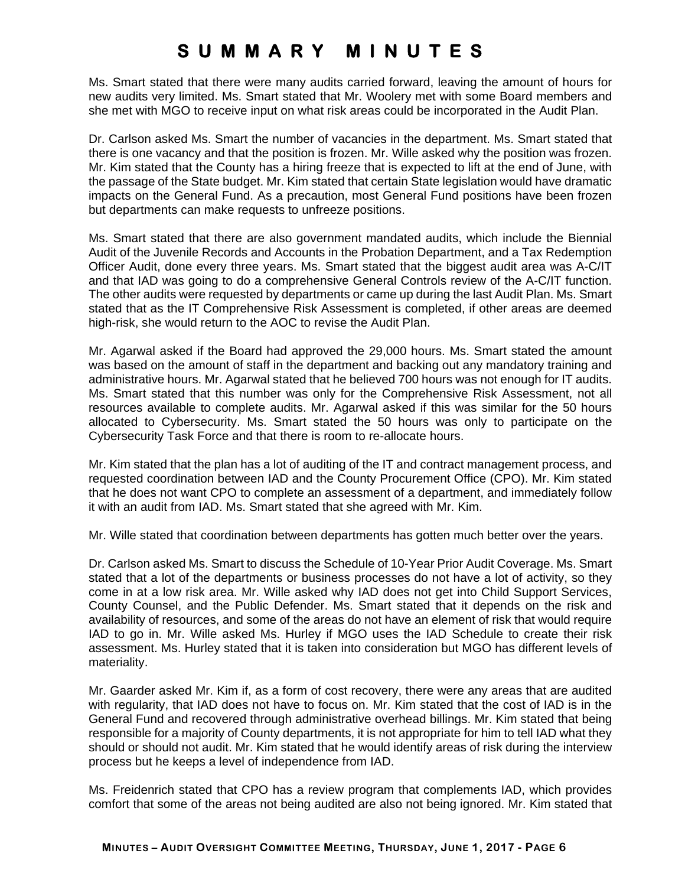Ms. Smart stated that there were many audits carried forward, leaving the amount of hours for new audits very limited. Ms. Smart stated that Mr. Woolery met with some Board members and she met with MGO to receive input on what risk areas could be incorporated in the Audit Plan.

Dr. Carlson asked Ms. Smart the number of vacancies in the department. Ms. Smart stated that there is one vacancy and that the position is frozen. Mr. Wille asked why the position was frozen. Mr. Kim stated that the County has a hiring freeze that is expected to lift at the end of June, with the passage of the State budget. Mr. Kim stated that certain State legislation would have dramatic impacts on the General Fund. As a precaution, most General Fund positions have been frozen but departments can make requests to unfreeze positions.

Ms. Smart stated that there are also government mandated audits, which include the Biennial Audit of the Juvenile Records and Accounts in the Probation Department, and a Tax Redemption Officer Audit, done every three years. Ms. Smart stated that the biggest audit area was A-C/IT and that IAD was going to do a comprehensive General Controls review of the A-C/IT function. The other audits were requested by departments or came up during the last Audit Plan. Ms. Smart stated that as the IT Comprehensive Risk Assessment is completed, if other areas are deemed high-risk, she would return to the AOC to revise the Audit Plan.

Mr. Agarwal asked if the Board had approved the 29,000 hours. Ms. Smart stated the amount was based on the amount of staff in the department and backing out any mandatory training and administrative hours. Mr. Agarwal stated that he believed 700 hours was not enough for IT audits. Ms. Smart stated that this number was only for the Comprehensive Risk Assessment, not all resources available to complete audits. Mr. Agarwal asked if this was similar for the 50 hours allocated to Cybersecurity. Ms. Smart stated the 50 hours was only to participate on the Cybersecurity Task Force and that there is room to re-allocate hours.

Mr. Kim stated that the plan has a lot of auditing of the IT and contract management process, and requested coordination between IAD and the County Procurement Office (CPO). Mr. Kim stated that he does not want CPO to complete an assessment of a department, and immediately follow it with an audit from IAD. Ms. Smart stated that she agreed with Mr. Kim.

Mr. Wille stated that coordination between departments has gotten much better over the years.

Dr. Carlson asked Ms. Smart to discuss the Schedule of 10-Year Prior Audit Coverage. Ms. Smart stated that a lot of the departments or business processes do not have a lot of activity, so they come in at a low risk area. Mr. Wille asked why IAD does not get into Child Support Services, County Counsel, and the Public Defender. Ms. Smart stated that it depends on the risk and availability of resources, and some of the areas do not have an element of risk that would require IAD to go in. Mr. Wille asked Ms. Hurley if MGO uses the IAD Schedule to create their risk assessment. Ms. Hurley stated that it is taken into consideration but MGO has different levels of materiality.

Mr. Gaarder asked Mr. Kim if, as a form of cost recovery, there were any areas that are audited with regularity, that IAD does not have to focus on. Mr. Kim stated that the cost of IAD is in the General Fund and recovered through administrative overhead billings. Mr. Kim stated that being responsible for a majority of County departments, it is not appropriate for him to tell IAD what they should or should not audit. Mr. Kim stated that he would identify areas of risk during the interview process but he keeps a level of independence from IAD.

Ms. Freidenrich stated that CPO has a review program that complements IAD, which provides comfort that some of the areas not being audited are also not being ignored. Mr. Kim stated that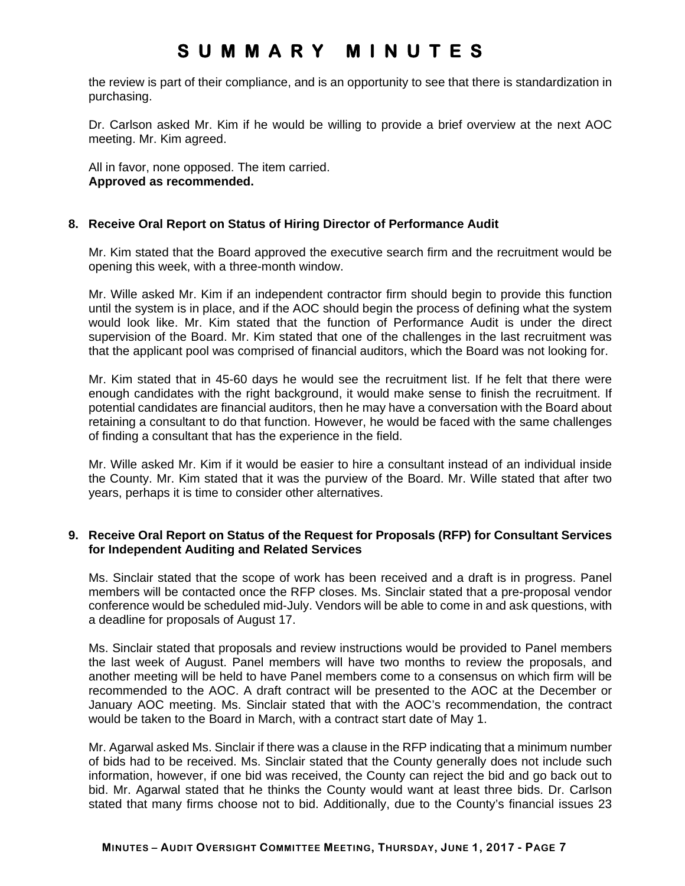the review is part of their compliance, and is an opportunity to see that there is standardization in purchasing.

Dr. Carlson asked Mr. Kim if he would be willing to provide a brief overview at the next AOC meeting. Mr. Kim agreed.

All in favor, none opposed. The item carried. **Approved as recommended.** 

### **8. Receive Oral Report on Status of Hiring Director of Performance Audit**

Mr. Kim stated that the Board approved the executive search firm and the recruitment would be opening this week, with a three-month window.

Mr. Wille asked Mr. Kim if an independent contractor firm should begin to provide this function until the system is in place, and if the AOC should begin the process of defining what the system would look like. Mr. Kim stated that the function of Performance Audit is under the direct supervision of the Board. Mr. Kim stated that one of the challenges in the last recruitment was that the applicant pool was comprised of financial auditors, which the Board was not looking for.

Mr. Kim stated that in 45-60 days he would see the recruitment list. If he felt that there were enough candidates with the right background, it would make sense to finish the recruitment. If potential candidates are financial auditors, then he may have a conversation with the Board about retaining a consultant to do that function. However, he would be faced with the same challenges of finding a consultant that has the experience in the field.

Mr. Wille asked Mr. Kim if it would be easier to hire a consultant instead of an individual inside the County. Mr. Kim stated that it was the purview of the Board. Mr. Wille stated that after two years, perhaps it is time to consider other alternatives.

#### **9. Receive Oral Report on Status of the Request for Proposals (RFP) for Consultant Services for Independent Auditing and Related Services**

Ms. Sinclair stated that the scope of work has been received and a draft is in progress. Panel members will be contacted once the RFP closes. Ms. Sinclair stated that a pre-proposal vendor conference would be scheduled mid-July. Vendors will be able to come in and ask questions, with a deadline for proposals of August 17.

Ms. Sinclair stated that proposals and review instructions would be provided to Panel members the last week of August. Panel members will have two months to review the proposals, and another meeting will be held to have Panel members come to a consensus on which firm will be recommended to the AOC. A draft contract will be presented to the AOC at the December or January AOC meeting. Ms. Sinclair stated that with the AOC's recommendation, the contract would be taken to the Board in March, with a contract start date of May 1.

Mr. Agarwal asked Ms. Sinclair if there was a clause in the RFP indicating that a minimum number of bids had to be received. Ms. Sinclair stated that the County generally does not include such information, however, if one bid was received, the County can reject the bid and go back out to bid. Mr. Agarwal stated that he thinks the County would want at least three bids. Dr. Carlson stated that many firms choose not to bid. Additionally, due to the County's financial issues 23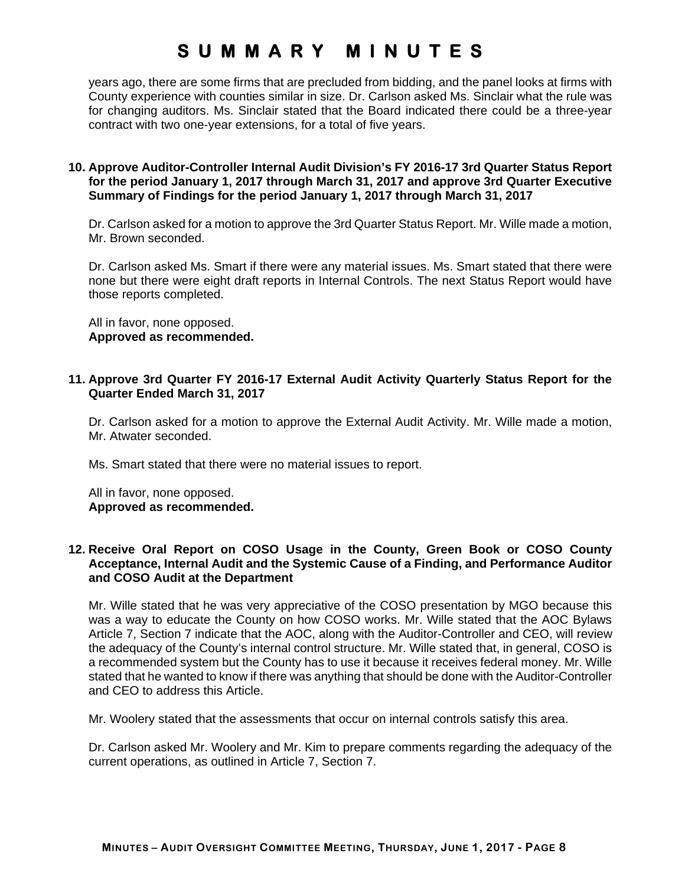years ago, there are some firms that are precluded from bidding, and the panel looks at firms with County experience with counties similar in size. Dr. Carlson asked Ms. Sinclair what the rule was for changing auditors. Ms. Sinclair stated that the Board indicated there could be a three-year contract with two one-year extensions, for a total of five years.

### **10. Approve Auditor-Controller Internal Audit Division's FY 2016-17 3rd Quarter Status Report for the period January 1, 2017 through March 31, 2017 and approve 3rd Quarter Executive Summary of Findings for the period January 1, 2017 through March 31, 2017**

Dr. Carlson asked for a motion to approve the 3rd Quarter Status Report. Mr. Wille made a motion, Mr. Brown seconded.

Dr. Carlson asked Ms. Smart if there were any material issues. Ms. Smart stated that there were none but there were eight draft reports in Internal Controls. The next Status Report would have those reports completed.

All in favor, none opposed. **Approved as recommended.** 

### **11. Approve 3rd Quarter FY 2016-17 External Audit Activity Quarterly Status Report for the Quarter Ended March 31, 2017**

Dr. Carlson asked for a motion to approve the External Audit Activity. Mr. Wille made a motion, Mr. Atwater seconded.

Ms. Smart stated that there were no material issues to report.

All in favor, none opposed. **Approved as recommended.** 

### **12. Receive Oral Report on COSO Usage in the County, Green Book or COSO County Acceptance, Internal Audit and the Systemic Cause of a Finding, and Performance Auditor and COSO Audit at the Department**

Mr. Wille stated that he was very appreciative of the COSO presentation by MGO because this was a way to educate the County on how COSO works. Mr. Wille stated that the AOC Bylaws Article 7, Section 7 indicate that the AOC, along with the Auditor-Controller and CEO, will review the adequacy of the County's internal control structure. Mr. Wille stated that, in general, COSO is a recommended system but the County has to use it because it receives federal money. Mr. Wille stated that he wanted to know if there was anything that should be done with the Auditor-Controller and CEO to address this Article.

Mr. Woolery stated that the assessments that occur on internal controls satisfy this area.

Dr. Carlson asked Mr. Woolery and Mr. Kim to prepare comments regarding the adequacy of the current operations, as outlined in Article 7, Section 7.